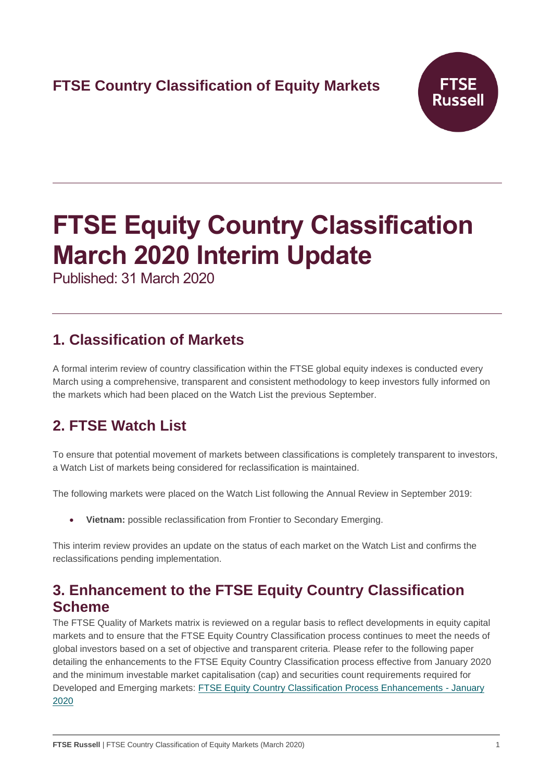# **FTSE Country Classification of Equity Markets**



# **FTSE Equity Country Classification March 2020 Interim Update**

Published: 31 March 2020

# **1. Classification of Markets**

A formal interim review of country classification within the FTSE global equity indexes is conducted every March using a comprehensive, transparent and consistent methodology to keep investors fully informed on the markets which had been placed on the Watch List the previous September.

# **2. FTSE Watch List**

To ensure that potential movement of markets between classifications is completely transparent to investors, a Watch List of markets being considered for reclassification is maintained.

The following markets were placed on the Watch List following the Annual Review in September 2019:

• **Vietnam:** possible reclassification from Frontier to Secondary Emerging.

This interim review provides an update on the status of each market on the Watch List and confirms the reclassifications pending implementation.

# **3. Enhancement to the FTSE Equity Country Classification Scheme**

The FTSE Quality of Markets matrix is reviewed on a regular basis to reflect developments in equity capital markets and to ensure that the FTSE Equity Country Classification process continues to meet the needs of global investors based on a set of objective and transparent criteria. Please refer to the following paper detailing the enhancements to the FTSE Equity Country Classification process effective from January 2020 and the minimum investable market capitalisation (cap) and securities count requirements required for Developed and Emerging markets: [FTSE Equity Country Classification Process Enhancements -](https://research.ftserussell.com/products/downloads/FTSE_Equity_Country_Classification_Process_Enhancements.pdf) January [2020](https://research.ftserussell.com/products/downloads/FTSE_Equity_Country_Classification_Process_Enhancements.pdf)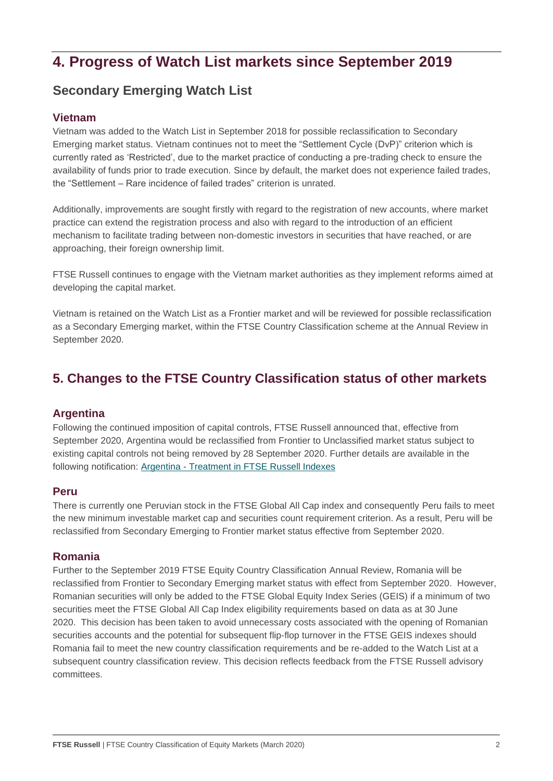# **4. Progress of Watch List markets since September 2019**

### **Secondary Emerging Watch List**

#### **Vietnam**

Vietnam was added to the Watch List in September 2018 for possible reclassification to Secondary Emerging market status. Vietnam continues not to meet the "Settlement Cycle (DvP)" criterion which is currently rated as 'Restricted', due to the market practice of conducting a pre-trading check to ensure the availability of funds prior to trade execution. Since by default, the market does not experience failed trades, the "Settlement – Rare incidence of failed trades" criterion is unrated.

Additionally, improvements are sought firstly with regard to the registration of new accounts, where market practice can extend the registration process and also with regard to the introduction of an efficient mechanism to facilitate trading between non-domestic investors in securities that have reached, or are approaching, their foreign ownership limit.

FTSE Russell continues to engage with the Vietnam market authorities as they implement reforms aimed at developing the capital market.

Vietnam is retained on the Watch List as a Frontier market and will be reviewed for possible reclassification as a Secondary Emerging market, within the FTSE Country Classification scheme at the Annual Review in September 2020.

### **5. Changes to the FTSE Country Classification status of other markets**

#### **Argentina**

Following the continued imposition of capital controls, FTSE Russell announced that, effective from September 2020, Argentina would be reclassified from Frontier to Unclassified market status subject to existing capital controls not being removed by 28 September 2020. Further details are available in the following notification: Argentina - Treatment in [FTSE Russell Indexes](https://research.ftserussell.com/products/index-notices/home/getnotice/?id=2595359)

#### **Peru**

There is currently one Peruvian stock in the FTSE Global All Cap index and consequently Peru fails to meet the new minimum investable market cap and securities count requirement criterion. As a result, Peru will be reclassified from Secondary Emerging to Frontier market status effective from September 2020.

#### **Romania**

Further to the September 2019 FTSE Equity Country Classification Annual Review, Romania will be reclassified from Frontier to Secondary Emerging market status with effect from September 2020. However, Romanian securities will only be added to the FTSE Global Equity Index Series (GEIS) if a minimum of two securities meet the FTSE Global All Cap Index eligibility requirements based on data as at 30 June 2020. This decision has been taken to avoid unnecessary costs associated with the opening of Romanian securities accounts and the potential for subsequent flip-flop turnover in the FTSE GEIS indexes should Romania fail to meet the new country classification requirements and be re-added to the Watch List at a subsequent country classification review. This decision reflects feedback from the FTSE Russell advisory committees.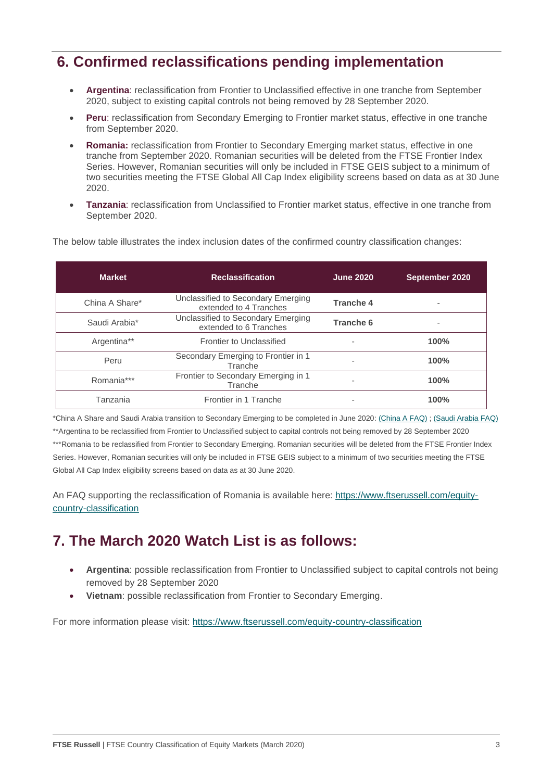# **6. Confirmed reclassifications pending implementation**

- **Argentina**: reclassification from Frontier to Unclassified effective in one tranche from September 2020, subject to existing capital controls not being removed by 28 September 2020.
- **Peru**: reclassification from Secondary Emerging to Frontier market status, effective in one tranche from September 2020.
- **Romania:** reclassification from Frontier to Secondary Emerging market status, effective in one tranche from September 2020. Romanian securities will be deleted from the FTSE Frontier Index Series. However, Romanian securities will only be included in FTSE GEIS subject to a minimum of two securities meeting the FTSE Global All Cap Index eligibility screens based on data as at 30 June 2020.
- **Tanzania**: reclassification from Unclassified to Frontier market status, effective in one tranche from September 2020.

The below table illustrates the index inclusion dates of the confirmed country classification changes:

| <b>Market</b>  | <b>Reclassification</b>                                      | <b>June 2020</b> | September 2020 |
|----------------|--------------------------------------------------------------|------------------|----------------|
| China A Share* | Unclassified to Secondary Emerging<br>extended to 4 Tranches | Tranche 4        |                |
| Saudi Arabia*  | Unclassified to Secondary Emerging<br>extended to 6 Tranches | Tranche 6        |                |
| Argentina**    | Frontier to Unclassified                                     | ۰                | 100%           |
| Peru           | Secondary Emerging to Frontier in 1<br>Tranche               | ۰                | 100%           |
| Romania***     | Frontier to Secondary Emerging in 1<br>Tranche               | ۰                | 100%           |
| Tanzania       | Frontier in 1 Tranche                                        | ۰                | 100%           |

\*China A Share and Saudi Arabia transition to Secondary Emerging to be completed in June 2020: [\(China A FAQ\)](https://research.ftserussell.com/products/downloads/FTSE_FAQ_Document_China_A.pdf) ; [\(Saudi Arabia FAQ\)](https://research.ftserussell.com/products/downloads/FTSE_FAQ_Document_Saudi_Arabia.pdf) \*\*Argentina to be reclassified from Frontier to Unclassified subject to capital controls not being removed by 28 September 2020 \*\*\*Romania to be reclassified from Frontier to Secondary Emerging. Romanian securities will be deleted from the FTSE Frontier Index Series. However, Romanian securities will only be included in FTSE GEIS subject to a minimum of two securities meeting the FTSE Global All Cap Index eligibility screens based on data as at 30 June 2020.

An FAQ supporting the reclassification of Romania is available here: [https://www.ftserussell.com/equity](https://www.ftserussell.com/equity-country-classification)[country-classification](https://www.ftserussell.com/equity-country-classification)

# **7. The March 2020 Watch List is as follows:**

- **Argentina**: possible reclassification from Frontier to Unclassified subject to capital controls not being removed by 28 September 2020
- **Vietnam**: possible reclassification from Frontier to Secondary Emerging.

For more information please visit: <https://www.ftserussell.com/equity-country-classification>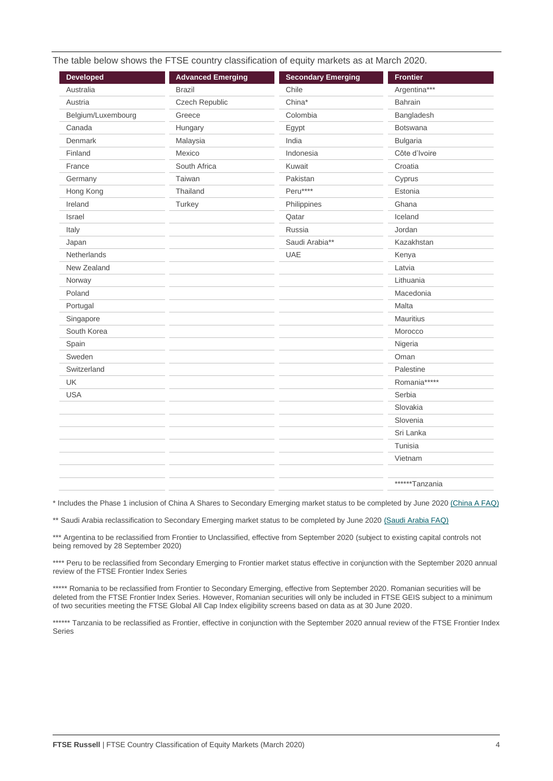| <b>Developed</b>   | <b>Advanced Emerging</b> | <b>Secondary Emerging</b> | <b>Frontier</b> |
|--------------------|--------------------------|---------------------------|-----------------|
| Australia          | <b>Brazil</b>            | Chile                     | Argentina***    |
| Austria            | Czech Republic           | China*                    | <b>Bahrain</b>  |
| Belgium/Luxembourg | Greece                   | Colombia                  | Bangladesh      |
| Canada             | Hungary                  | Egypt                     | <b>Botswana</b> |
| Denmark            | Malaysia                 | India                     | <b>Bulgaria</b> |
| Finland            | Mexico                   | Indonesia                 | Côte d'Ivoire   |
| France             | South Africa             | Kuwait                    | Croatia         |
| Germany            | Taiwan                   | Pakistan                  | Cyprus          |
| Hong Kong          | Thailand                 | Peru****                  | Estonia         |
| Ireland            | Turkey                   | Philippines               | Ghana           |
| Israel             |                          | Qatar                     | Iceland         |
| Italy              |                          | Russia                    | Jordan          |
| Japan              |                          | Saudi Arabia**            | Kazakhstan      |
| Netherlands        |                          | UAE                       | Kenya           |
| New Zealand        |                          |                           | Latvia          |
| Norway             |                          |                           | Lithuania       |
| Poland             |                          |                           | Macedonia       |
| Portugal           |                          |                           | Malta           |
| Singapore          |                          |                           | Mauritius       |
| South Korea        |                          |                           | Morocco         |
| Spain              |                          |                           | Nigeria         |
| Sweden             |                          |                           | Oman            |
| Switzerland        |                          |                           | Palestine       |
| UK                 |                          |                           | Romania*****    |
| <b>USA</b>         |                          |                           | Serbia          |
|                    |                          |                           | Slovakia        |
|                    |                          |                           | Slovenia        |
|                    |                          |                           | Sri Lanka       |
|                    |                          |                           | Tunisia         |
|                    |                          |                           | Vietnam         |
|                    |                          |                           | ******Tanzania  |

\* Includes the Phase 1 inclusion of China A Shares to Secondary Emerging market status to be completed by June 2020 [\(China A FAQ\)](https://research.ftserussell.com/products/downloads/FTSE_FAQ_Document_China_A.pdf)

\*\* Saudi Arabia reclassification to Secondary Emerging market status to be completed by June 202[0 \(Saudi Arabia FAQ\)](https://research.ftserussell.com/products/downloads/FTSE_FAQ_Document_Saudi_Arabia.pdf)

\*\*\* Argentina to be reclassified from Frontier to Unclassified, effective from September 2020 (subject to existing capital controls not being removed by 28 September 2020)

\*\*\*\* Peru to be reclassified from Secondary Emerging to Frontier market status effective in conjunction with the September 2020 annual review of the FTSE Frontier Index Series

\*\*\*\*\* Romania to be reclassified from Frontier to Secondary Emerging, effective from September 2020. Romanian securities will be deleted from the FTSE Frontier Index Series. However, Romanian securities will only be included in FTSE GEIS subject to a minimum of two securities meeting the FTSE Global All Cap Index eligibility screens based on data as at 30 June 2020.

\*\*\*\*\*\* Tanzania to be reclassified as Frontier, effective in conjunction with the September 2020 annual review of the FTSE Frontier Index Series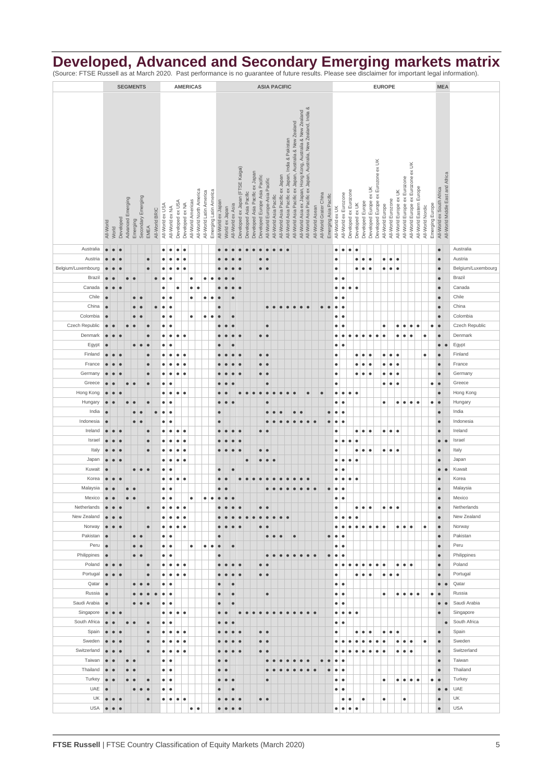### **Developed, Advanced and Secondary Emerging markets matrix**

(Source: FTSE Russell as at March 2020. Past performance is no guarantee of future results. Please see disclaimer for important legal information).

|                      |                        |            |           |                   |                  | <b>SEGMENTS</b>    |                        |                |                                                                                                                                                                                                                                                  |                        |                        |                 | <b>AMERICAS</b><br><b>ASIA PACIFIC</b> |                         |                        |                    |                                     |           |                        |                                                                          |                               |                               |                        | <b>EUROPE</b>                   |           |           |           |                 |                        |                       |                        |                                                |                        |                  |                        |                  | <b>MEA</b>         |                        |                                  |           |                          |                  |                 |                                                               |           |                      |
|----------------------|------------------------|------------|-----------|-------------------|------------------|--------------------|------------------------|----------------|--------------------------------------------------------------------------------------------------------------------------------------------------------------------------------------------------------------------------------------------------|------------------------|------------------------|-----------------|----------------------------------------|-------------------------|------------------------|--------------------|-------------------------------------|-----------|------------------------|--------------------------------------------------------------------------|-------------------------------|-------------------------------|------------------------|---------------------------------|-----------|-----------|-----------|-----------------|------------------------|-----------------------|------------------------|------------------------------------------------|------------------------|------------------|------------------------|------------------|--------------------|------------------------|----------------------------------|-----------|--------------------------|------------------|-----------------|---------------------------------------------------------------|-----------|----------------------|
|                      |                        |            |           |                   |                  |                    |                        |                |                                                                                                                                                                                                                                                  |                        |                        |                 |                                        |                         |                        |                    |                                     |           |                        |                                                                          |                               |                               |                        |                                 |           |           |           |                 |                        |                       |                        |                                                |                        |                  |                        |                  |                    |                        |                                  |           |                          |                  |                 |                                                               |           |                      |
|                      |                        |            |           |                   |                  |                    |                        |                |                                                                                                                                                                                                                                                  |                        |                        |                 |                                        |                         |                        |                    |                                     |           |                        |                                                                          |                               |                               |                        |                                 |           |           |           |                 |                        |                       |                        |                                                |                        |                  |                        |                  |                    |                        |                                  |           |                          |                  |                 |                                                               |           |                      |
|                      |                        |            |           |                   |                  |                    |                        |                |                                                                                                                                                                                                                                                  |                        |                        |                 |                                        |                         |                        |                    |                                     |           |                        |                                                                          |                               |                               |                        |                                 |           |           |           |                 |                        |                       |                        |                                                |                        |                  |                        |                  |                    |                        |                                  |           |                          |                  |                 |                                                               |           |                      |
|                      |                        |            |           |                   |                  |                    |                        |                |                                                                                                                                                                                                                                                  |                        |                        |                 |                                        |                         |                        |                    |                                     |           |                        |                                                                          |                               |                               |                        |                                 |           |           |           |                 |                        |                       |                        |                                                |                        |                  |                        |                  |                    |                        |                                  |           |                          |                  |                 |                                                               |           |                      |
|                      |                        |            |           |                   |                  |                    |                        |                |                                                                                                                                                                                                                                                  |                        |                        |                 |                                        |                         |                        |                    |                                     |           |                        |                                                                          |                               |                               |                        |                                 |           |           |           |                 |                        |                       |                        |                                                |                        |                  |                        |                  |                    |                        |                                  |           |                          |                  |                 |                                                               |           |                      |
|                      |                        |            |           |                   |                  |                    |                        |                |                                                                                                                                                                                                                                                  |                        |                        |                 |                                        |                         |                        |                    |                                     |           |                        |                                                                          |                               |                               |                        |                                 |           |           |           |                 |                        |                       |                        |                                                |                        |                  |                        |                  |                    |                        |                                  |           |                          |                  |                 |                                                               |           |                      |
|                      |                        |            |           |                   |                  |                    |                        |                |                                                                                                                                                                                                                                                  |                        |                        |                 |                                        |                         |                        |                    |                                     |           |                        |                                                                          |                               |                               |                        |                                 |           |           |           |                 |                        |                       |                        |                                                |                        |                  |                        |                  |                    |                        |                                  |           |                          |                  |                 |                                                               |           |                      |
|                      |                        |            |           |                   |                  |                    |                        |                | All-World Asia Pacific ex Japan, Australia, New Zealand, India &<br>All-World Asia ex Japan, Hong Kong, Australia & New Zealand<br>All-World Asia Pacific ex Japan, Australia & New Zealand<br>All-World Asia Pacific ex Japan, India & Pakistan |                        |                        |                 |                                        |                         |                        |                    |                                     |           |                        | Developed Europe ex Eurozone ex UK<br>All-World Europe ex Eurozone ex UK |                               |                               |                        |                                 |           |           |           |                 |                        |                       |                        |                                                |                        |                  |                        |                  |                    |                        |                                  |           |                          |                  |                 |                                                               |           |                      |
|                      |                        |            |           |                   |                  |                    |                        |                | Developed ex Japan (FTSE Kaigai)                                                                                                                                                                                                                 |                        |                        |                 |                                        |                         |                        |                    |                                     |           |                        |                                                                          |                               |                               |                        |                                 |           |           |           |                 |                        |                       |                        |                                                |                        |                  |                        |                  |                    |                        |                                  |           |                          |                  |                 |                                                               |           |                      |
|                      |                        |            |           |                   |                  |                    |                        |                |                                                                                                                                                                                                                                                  |                        |                        |                 |                                        |                         |                        |                    |                                     |           |                        |                                                                          |                               |                               |                        |                                 |           |           |           |                 |                        |                       |                        |                                                |                        |                  |                        |                  |                    |                        |                                  |           |                          |                  |                 |                                                               |           |                      |
|                      |                        |            |           |                   |                  |                    |                        |                |                                                                                                                                                                                                                                                  |                        |                        |                 |                                        |                         |                        |                    |                                     |           |                        |                                                                          |                               |                               |                        |                                 |           |           |           |                 |                        |                       |                        |                                                |                        |                  |                        |                  |                    |                        |                                  |           |                          |                  |                 |                                                               |           |                      |
|                      |                        |            |           | Advanced Emerging |                  | Secondary Emerging |                        |                |                                                                                                                                                                                                                                                  |                        |                        |                 | All-World North America                | All-World Latin America | Emerging Latin America |                    |                                     |           | Developed Asia Pacific | Developed Asia Pacific ex Japan                                          | Developed Europe Asia Pacific | All-World Europe-Asia Pacific | All-World Asia Pacific | All-World Asia Pacific ex Japan |           |           |           |                 | All-World Grater China | Emerging Asia Pacific |                        | Developed ex Eurozone<br>All-World ex Eurozone |                        |                  | Developed Europe ex UK |                  |                    | All-World Europe ex UK | All-World Europe ex Eurozone     |           | All-World Eastern Europe |                  |                 | All-World ex South Africa<br>All-World Middle East and Africa |           |                      |
|                      |                        |            |           |                   |                  |                    |                        | All-World BRIC | All-World ex USA                                                                                                                                                                                                                                 | All-World ex NA        | Developed ex USA       | Developed ex NA | All-World Americas                     |                         |                        | All-World ex Japan | All-World ex Asia<br>World ex Japan |           |                        |                                                                          |                               |                               |                        |                                 |           |           |           | All-World Asean |                        |                       | All-World ex UK        |                                                | Developed ex UK        | Developed Europe |                        |                  | All-World Europe   | All-World Eurozone     |                                  |           |                          | All-World Nordic | Emerging Europe |                                                               |           |                      |
|                      |                        |            | Developed |                   |                  |                    |                        |                |                                                                                                                                                                                                                                                  |                        |                        |                 |                                        |                         |                        |                    |                                     |           |                        |                                                                          |                               |                               |                        |                                 |           |           |           |                 |                        |                       |                        |                                                |                        |                  |                        |                  |                    |                        |                                  |           |                          |                  |                 |                                                               |           |                      |
|                      | All-World              | World      |           |                   | Emerging         |                    | EMEA                   |                |                                                                                                                                                                                                                                                  |                        |                        |                 |                                        |                         |                        |                    |                                     |           |                        |                                                                          |                               |                               |                        |                                 |           |           |           |                 |                        |                       |                        |                                                |                        |                  |                        |                  |                    |                        |                                  |           |                          |                  |                 |                                                               |           |                      |
|                      |                        |            |           |                   |                  |                    |                        |                |                                                                                                                                                                                                                                                  |                        |                        |                 |                                        |                         |                        |                    |                                     |           |                        |                                                                          |                               |                               |                        |                                 |           |           |           |                 |                        |                       |                        |                                                |                        |                  |                        |                  |                    |                        |                                  |           |                          |                  |                 |                                                               |           |                      |
| Australia            | $\bullet$              | $\bullet$  | $\bullet$ |                   |                  |                    |                        |                | $\bullet$                                                                                                                                                                                                                                        | $\bullet$              | $\bullet$              | $\bullet$       |                                        |                         |                        |                    |                                     |           |                        |                                                                          |                               | ö                             |                        | $\bullet$                       |           |           |           |                 |                        |                       | $\bullet$              | $\bullet$<br>$\bullet$                         | $\bullet$              |                  |                        |                  |                    |                        |                                  |           |                          |                  |                 | $\bullet$                                                     |           | Australia            |
| Austria              | $\bullet$              |            |           |                   |                  |                    | $\bullet$              |                | $\bullet$                                                                                                                                                                                                                                        | $\bullet$              | $\bullet$              |                 |                                        |                         |                        |                    |                                     |           |                        |                                                                          | $\bullet$ $\bullet$           |                               |                        |                                 |           |           |           |                 |                        |                       | $\bullet$              |                                                | $\bullet$              | $\bullet$        | $\bullet$              |                  | $\bullet$          | $\bullet\bullet$       |                                  |           |                          |                  |                 | $\bullet$                                                     |           | Austria              |
| Belgium/Luxembourg   | $\bullet$              |            |           |                   |                  |                    | $\bullet$              |                | $\bullet$                                                                                                                                                                                                                                        | $\bullet$              | $\bullet$              | $\bullet$       |                                        |                         |                        |                    |                                     |           |                        |                                                                          | $\bullet$ $\bullet$           |                               |                        |                                 |           |           |           |                 |                        |                       | $\bullet$              |                                                | ۰                      | $\bullet$        | $\bullet$              |                  | $\bullet$          | $\bullet$<br>۰         |                                  |           |                          |                  |                 | $\bullet$                                                     |           | Belgium/Luxembourg   |
| Brazil               | $\bullet$              |            |           | $\bullet$         | $\bullet$        |                    |                        | $\bullet$      | $\bullet$                                                                                                                                                                                                                                        | $\bullet$              |                        |                 | $\bullet$                              | $\bullet$               | $\bullet$              |                    |                                     |           |                        |                                                                          |                               |                               |                        |                                 |           |           |           |                 |                        |                       | $\bullet$              | $\bullet$                                      |                        |                  |                        |                  |                    |                        |                                  |           |                          |                  |                 | $\bullet$                                                     |           | Brazil               |
| Canada               | $\bullet$              | $\bullet$  |           |                   |                  |                    |                        |                | $\bullet$                                                                                                                                                                                                                                        |                        | $\bullet$              |                 | $\bullet$<br>$\bullet$                 |                         |                        |                    | $\bullet$                           | $\bullet$ |                        |                                                                          |                               |                               |                        |                                 |           |           |           |                 |                        |                       | $\bullet$              | ٠                                              | $\bullet$<br>$\bullet$ |                  |                        |                  |                    |                        |                                  |           |                          |                  |                 | $\bullet$                                                     |           | Canada               |
| Chile                | $\bullet$              |            |           |                   | $\bullet$        | $\epsilon$         |                        |                | ٠                                                                                                                                                                                                                                                | ٠                      |                        |                 | $\bullet$                              | ٠                       | $\bullet$              | $\bullet$          | $\bullet$                           |           |                        |                                                                          |                               |                               |                        |                                 |           |           |           |                 |                        |                       | $\bullet$              | $\bullet$                                      |                        |                  |                        |                  |                    |                        |                                  |           |                          |                  |                 | $\bullet$                                                     |           | Chile                |
| China                | $\bullet$              |            |           |                   | $\bullet$        | $\bullet$          |                        | $\bullet$      | $\bullet$                                                                                                                                                                                                                                        | $\bullet$              |                        |                 |                                        |                         |                        | $\bullet$          |                                     |           |                        |                                                                          |                               | $\bullet$                     | $\bullet$              | $\bullet$<br>$\bullet$          | $\bullet$ | $\bullet$ | $\bullet$ |                 | $\bullet$              | $\bullet$             | $\bullet$              | $\epsilon$                                     |                        |                  |                        |                  |                    |                        |                                  |           |                          |                  |                 | $\bullet$                                                     |           | China                |
| Colombia             | $\bullet$              |            |           |                   | $\bullet$        | $\bullet$          |                        |                | ٠                                                                                                                                                                                                                                                | $\bullet$              |                        |                 | $\bullet$                              | $\bullet$               | $\bullet$              | $\bullet$          | $\bullet$                           |           |                        |                                                                          |                               |                               |                        |                                 |           |           |           |                 |                        |                       | $\bullet$              | $\bullet$                                      |                        |                  |                        |                  |                    |                        |                                  |           |                          |                  |                 | $\bullet$                                                     |           | Colombia             |
| Czech Republic       | $\bullet$              | $\bullet$  |           |                   |                  |                    | $\bullet$              |                | $\bullet$                                                                                                                                                                                                                                        | $\bullet$              |                        |                 |                                        |                         |                        |                    |                                     |           |                        |                                                                          |                               | $\bullet$                     |                        |                                 |           |           |           |                 |                        |                       | $\bullet$              |                                                |                        |                  |                        |                  | $\bullet$          |                        | $\bullet$<br>٠                   | $\bullet$ |                          |                  | $\bullet$       | $\bullet$                                                     |           | Czech Republic       |
| Denmark              | $\bullet$              | $\bullet$  |           |                   |                  |                    | $\bullet$              |                | $\bullet$                                                                                                                                                                                                                                        | $\bullet$              | $\bullet$              | $\bullet$       |                                        |                         |                        |                    |                                     |           |                        |                                                                          | $\bullet$                     | $\bullet$                     |                        |                                 |           |           |           |                 |                        |                       | $\bullet$              | $\epsilon$<br>$\bullet$                        | $\bullet$              | $\bullet$        | $\bullet$              | $\bullet$        | $\bullet$          | $\bullet$              | $\bullet$                        | $\bullet$ |                          | $\bullet$        |                 | $\bullet$                                                     |           | Denmark              |
| Egypt                | $\bullet$              |            |           |                   | $\bullet$        | $\bullet$          | $\bullet$              |                | $\bullet$                                                                                                                                                                                                                                        | $\bullet$              |                        |                 |                                        |                         |                        | ¢                  |                                     |           |                        |                                                                          |                               |                               |                        |                                 |           |           |           |                 |                        |                       | $\bullet$              | $\bullet$                                      |                        |                  |                        |                  |                    |                        |                                  |           |                          |                  |                 | $\bullet$                                                     | $\bullet$ | Egypt                |
| Finland              | $\bullet$              | $\bullet$  | $\bullet$ |                   |                  |                    | $\bullet$              |                | ٠                                                                                                                                                                                                                                                | $\bullet$              | $\bullet$              | ٠               |                                        |                         |                        |                    |                                     |           |                        |                                                                          | $\bullet\bullet$              |                               |                        |                                 |           |           |           |                 |                        |                       | $\bullet$              |                                                | $\bullet$              | $\bullet$        | $\bullet$              |                  | $\bullet$          | $\bullet$<br>$\bullet$ |                                  |           |                          | $\bullet$        |                 | $\bullet$                                                     |           | Finland              |
| France               | $\bullet$              | $\epsilon$ |           |                   |                  |                    | $\bullet$              |                | ٠                                                                                                                                                                                                                                                | $\bullet$              | ٠                      | $\bullet$       |                                        |                         |                        |                    |                                     |           |                        |                                                                          | $\bullet$                     | ۱o                            |                        |                                 |           |           |           |                 |                        |                       | $\bullet$              |                                                | ٠                      | $\bullet$        | $\bullet$              |                  | $\bullet$          | $\bullet$<br>$\bullet$ |                                  |           |                          |                  |                 | $\qquad \qquad \bullet$                                       |           | France               |
| Germany              | $\bullet$              | $\bullet$  | $\bullet$ |                   |                  |                    | $\bullet$              |                | ٠                                                                                                                                                                                                                                                | $\bullet$              | $\bullet$              | $\bullet$       |                                        |                         |                        |                    |                                     |           |                        |                                                                          | $\bullet\bullet$              |                               |                        |                                 |           |           |           |                 |                        |                       | $\bullet$              |                                                | $\bullet$              | $\bullet$        | $\bullet$              |                  | ٠                  | $\bullet$<br>٠         |                                  |           |                          |                  |                 | $\bullet$                                                     |           | Germany              |
| Greece               | $\bullet$              |            |           | $\bullet$         | $\bullet$        |                    | $\bullet$              |                | ٠                                                                                                                                                                                                                                                | $\bullet$              |                        |                 |                                        |                         |                        |                    |                                     |           |                        |                                                                          |                               | $\bullet$                     |                        |                                 |           |           |           |                 |                        |                       | $\bullet$              |                                                |                        |                  |                        |                  | $\bullet$          | $\bullet$<br>∣●        |                                  |           |                          |                  | $\bullet$       | $\bullet$                                                     |           | Greece               |
| Hong Kong            | $\bullet$              | $\bullet$  |           |                   |                  |                    |                        |                | $\bullet$                                                                                                                                                                                                                                        | $\bullet$              | $\bullet$              | $\bullet$       |                                        |                         |                        | $\bullet$          |                                     | $\bullet$ | $\bullet$              | $\bullet$                                                                | $\bullet$                     | $\bullet$                     | $\bullet$              | $\bullet$<br>$\bullet$          | $\bullet$ |           | $\bullet$ |                 | $\bullet$              |                       | $\bullet$              | ٠                                              | $\bullet$<br>$\bullet$ |                  |                        |                  |                    |                        |                                  |           |                          |                  |                 | $\bullet$                                                     |           | Hong Kong            |
| Hungary              | $\bullet$              |            |           |                   |                  |                    | $\bullet$              |                | ٠                                                                                                                                                                                                                                                | ٠                      |                        |                 |                                        |                         |                        | $\bullet$          | $\bullet$                           |           |                        |                                                                          |                               | $\bullet$                     |                        |                                 |           |           |           |                 |                        |                       | $\bullet$              | $\bullet$                                      |                        |                  |                        |                  | $\bullet$          |                        | $\bullet$<br>$\bullet$           | $\bullet$ | $\bullet$                |                  | $\bullet$       | $\bullet$                                                     |           | Hungary              |
| India                | $\bullet$              |            |           |                   | $\bullet$        |                    |                        | $\bullet$      | $\bullet$                                                                                                                                                                                                                                        | $\bullet$              |                        |                 |                                        |                         |                        | $\bullet$          |                                     |           |                        |                                                                          |                               |                               |                        |                                 | $\bullet$ |           |           |                 |                        | $\bullet$             | $\bullet$              |                                                |                        |                  |                        |                  |                    |                        |                                  |           |                          |                  |                 | $\bullet$                                                     |           | India                |
| Indonesia<br>Ireland | $\bullet$<br>$\bullet$ | $\bullet$  |           |                   | $\bullet$        | $\bullet$          |                        |                | ٠                                                                                                                                                                                                                                                | $\bullet$              |                        | $\bullet$       |                                        |                         |                        | $\bullet$          |                                     |           |                        |                                                                          |                               | $\bullet$<br>$\bullet$        | $\bullet$              | $\bullet$                       | $\bullet$ | $\bullet$ | $\bullet$ | $\bullet$       |                        | $\bullet$             | $\bullet$              | $\bullet$                                      |                        |                  | $\bullet$              |                  |                    |                        |                                  |           |                          |                  |                 | $\bullet$                                                     |           | Indonesia<br>Ireland |
| Israel               | $\bullet$              | $\bullet$  | $\bullet$ |                   |                  |                    | $\bullet$<br>$\bullet$ |                | $\bullet$<br>۰                                                                                                                                                                                                                                   | $\bullet$<br>$\bullet$ | $\bullet$<br>$\bullet$ | ٠               |                                        |                         |                        |                    |                                     | $\bullet$ |                        |                                                                          | $\bullet$                     |                               |                        |                                 |           |           |           |                 |                        |                       | $\bullet$<br>$\bullet$ | $\bullet$<br>$\bullet$                         | $\bullet$<br>$\bullet$ | $\bullet$        |                        |                  | $\bullet$          | $\bullet$<br>$\bullet$ |                                  |           |                          |                  |                 | $\bullet$<br>$\bullet$                                        | $\bullet$ | Israel               |
| Italy                | $\bullet$              | $\bullet$  | $\bullet$ |                   |                  |                    | $\bullet$              |                | ٠                                                                                                                                                                                                                                                | $\bullet$              | $\bullet$              | $\bullet$       |                                        |                         |                        | $\bullet$          | $\bullet$<br>$\bullet$              | $\bullet$ |                        |                                                                          | $\bullet$                     | $\bullet$                     |                        |                                 |           |           |           |                 |                        |                       | $\bullet$              |                                                | $\bullet$              | $\bullet$        | $\bullet$              |                  | ٠                  | $\bullet\bullet$       |                                  |           |                          |                  |                 | $\bullet$                                                     |           | Italy                |
| Japan                | $\bullet$              | $\bullet$  | $\bullet$ |                   |                  |                    |                        |                | $\bullet$                                                                                                                                                                                                                                        | $\bullet$              | $\bullet$              | $\bullet$       |                                        |                         |                        |                    |                                     |           | $\bullet$              |                                                                          | $\bullet\bullet$              |                               | $\bullet$              |                                 |           |           |           |                 |                        |                       | $\bullet$              | ٠                                              | $\bullet$<br>$\bullet$ |                  |                        |                  |                    |                        |                                  |           |                          |                  |                 | $\bullet$                                                     |           | Japan                |
| Kuwait               | $\bullet$              |            |           |                   | $\bullet$        | $\bullet$          | $\bullet$              |                | ٠                                                                                                                                                                                                                                                | ٠                      |                        |                 |                                        |                         |                        | $\bullet$          | $\bullet$                           |           |                        |                                                                          |                               |                               |                        |                                 |           |           |           |                 |                        |                       | $\bullet$              | ٠                                              |                        |                  |                        |                  |                    |                        |                                  |           |                          |                  |                 | $\bullet$                                                     |           | Kuwait               |
| Korea                | $\bullet$              | $\bullet$  |           |                   |                  |                    |                        |                | $\bullet$                                                                                                                                                                                                                                        | $\bullet$              | $\bullet$              | $\bullet$       |                                        |                         |                        | $\bullet$          |                                     | $\bullet$ | $\bullet$              |                                                                          |                               |                               |                        |                                 |           |           |           |                 |                        |                       | $\bullet$              | $\bullet$                                      | $\bullet$<br>$\bullet$ |                  |                        |                  |                    |                        |                                  |           |                          |                  |                 | $\bullet$                                                     |           | Korea                |
| Malaysia             | $\bullet$              |            |           | $\bullet$         | $\bullet$        |                    |                        |                | ٠                                                                                                                                                                                                                                                | $\bullet$              |                        |                 |                                        |                         |                        | $\bullet$          | $\bullet$                           |           |                        |                                                                          |                               | $\bullet$                     | $\bullet$              | $\bullet$<br>$\bullet$          | $\bullet$ | $\bullet$ | $\bullet$ | $\bullet$       |                        | $\bullet$             | $\bullet$              | $\bullet$                                      |                        |                  |                        |                  |                    |                        |                                  |           |                          |                  |                 | $\bullet$                                                     |           | Malaysia             |
| Mexico               | $\bullet$              |            |           |                   |                  |                    |                        |                | ٠                                                                                                                                                                                                                                                | ٠                      |                        |                 |                                        |                         |                        |                    |                                     |           |                        |                                                                          |                               |                               |                        |                                 |           |           |           |                 |                        |                       | ٠                      | ٠                                              |                        |                  |                        |                  |                    |                        |                                  |           |                          |                  |                 |                                                               |           | Mexico               |
| Netherlands          | $\bullet$              | ∣ ●        | $\bullet$ |                   |                  |                    | $\bullet$              |                | ٠                                                                                                                                                                                                                                                | $\bullet$              | $\bullet$              | ٠               |                                        |                         |                        |                    | $\bullet$                           | $\bullet$ |                        |                                                                          | $\bullet$                     | ●                             |                        |                                 |           |           |           |                 |                        |                       | $\bullet$              |                                                |                        | $\bullet\bullet$ | $\bullet$              |                  | $\bullet$ $\vdash$ | $\bullet\bullet$       |                                  |           |                          |                  |                 | $\bullet$                                                     |           | Netherlands          |
| New Zealand          | $\bullet$              | $\bullet$  | $\bullet$ |                   |                  |                    |                        |                | ٠                                                                                                                                                                                                                                                | $\bullet$              | $\bullet$              | $\bullet$       |                                        |                         |                        |                    |                                     |           | $\bullet$              |                                                                          | $\bullet$                     | $\bullet$                     | $\bullet$              | $\bullet$<br>$\bullet$          |           |           |           |                 |                        |                       | $\bullet$              | $\bullet$<br>$\bullet$                         | $\bullet$              |                  |                        |                  |                    |                        |                                  |           |                          |                  |                 | $\bullet$                                                     |           | New Zealand          |
| Norway               | $\bullet$              | ●          | $\bullet$ |                   |                  |                    | $\bullet$              |                | $\bullet$                                                                                                                                                                                                                                        | $\bullet$              | $\bullet$              | $\bullet$       |                                        |                         |                        | $\bullet$          | $\bullet$                           |           |                        |                                                                          | $\bullet$                     | ۱e                            |                        |                                 |           |           |           |                 |                        |                       | $\bullet$              | $\bullet$                                      | $\bullet$<br>$\bullet$ | $\bullet$        | $\bullet$              | $\bullet\bullet$ |                    |                        | .                                |           |                          | $\bullet$        |                 | $\bullet$                                                     |           | Norway               |
| Pakistan             | $\bullet$              |            |           |                   | $\bullet$        | $\bullet$          |                        |                | ٠                                                                                                                                                                                                                                                | ٠                      |                        |                 |                                        |                         |                        | $\bullet$          |                                     |           |                        |                                                                          |                               | $\bullet$                     | $\bullet$              | $\bullet$                       | $\bullet$ |           |           |                 |                        | $\bullet$             | $\bullet$              | ٠                                              |                        |                  |                        |                  |                    |                        |                                  |           |                          |                  |                 | $\bullet$                                                     |           | Pakistan             |
| Peru                 | $\bullet$              |            |           |                   | $\bullet$        | $\bullet$          |                        |                | $\bullet$                                                                                                                                                                                                                                        | $\bullet$              |                        |                 | $\bullet$                              | $\bullet$               | $\bullet$              | $\bullet$          | $\bullet$                           |           |                        |                                                                          |                               |                               |                        |                                 |           |           |           |                 |                        |                       | $\bullet$              | ¢                                              |                        |                  |                        |                  |                    |                        |                                  |           |                          |                  |                 | $\bullet$                                                     |           | Peru                 |
| Philippines          | $\bullet$              |            |           |                   | $\bullet$        | $\bullet$          |                        |                | $\bullet$                                                                                                                                                                                                                                        | $\bullet$              |                        |                 |                                        |                         |                        | $\bullet$          |                                     |           |                        |                                                                          |                               | $\bullet$                     |                        | $\bullet$<br>$\bullet$          | $\bullet$ | $\bullet$ | $\bullet$ |                 |                        | $\bullet$             | $\bullet$              | $\epsilon$                                     |                        |                  |                        |                  |                    |                        |                                  |           |                          |                  |                 | $\bullet$                                                     |           | Philippines          |
| Poland               | $\bullet$              | $\bullet$  | $\bullet$ |                   |                  |                    | $\bullet$              |                | $\bullet$                                                                                                                                                                                                                                        | $\bullet$              | $\bullet$              | $\bullet$       |                                        |                         |                        | $\bullet$          | $\bullet$<br>$\bullet$              | e         |                        |                                                                          | $\bullet$ $\bullet$           |                               |                        |                                 |           |           |           |                 |                        |                       | $\bullet$              | $\bullet$                                      | $\bullet$<br>$\bullet$ | $\bullet$        | $\bullet$              | $\bullet$        | $\bullet$          |                        | $\bullet$<br>$\bullet$           | $\bullet$ |                          |                  |                 | $\bullet$                                                     |           | Poland               |
| Portugal             | $\bullet$              | $\bullet$  | $\bullet$ |                   |                  |                    | $\bullet$              |                | $\bullet$                                                                                                                                                                                                                                        | $\bullet$              | $\bullet$              | $\bullet$       |                                        |                         |                        | $\bullet$          | $\bullet$<br>$\bullet$              | $\bullet$ |                        |                                                                          | $\bullet\bullet$              |                               |                        |                                 |           |           |           |                 |                        |                       | $\bullet$              |                                                | ٠                      | $\bullet$        | $\bullet$              |                  | $\bullet$          | $\bullet$<br>$\bullet$ |                                  |           |                          |                  |                 | $\bullet$                                                     |           | Portugal             |
| Qatar                | $\bullet$              |            |           |                   | $\bullet$        | $\bullet$          | $\bullet$              |                | ٠                                                                                                                                                                                                                                                | $\bullet$              |                        |                 |                                        |                         |                        | $\bullet$          | $\bullet$                           |           |                        |                                                                          |                               |                               |                        |                                 |           |           |           |                 |                        |                       | $\bullet$              | $\bullet$                                      |                        |                  |                        |                  |                    |                        |                                  |           |                          |                  |                 | $\bullet$                                                     | $\bullet$ | Qatar                |
| Russia               | $\bullet$              |            |           |                   | $\bullet$        |                    | $\bullet$              | $\bullet$      | ٠                                                                                                                                                                                                                                                | $\bullet$              |                        |                 |                                        |                         |                        | $\bullet$          | $\bullet$                           |           |                        |                                                                          |                               | $\bullet$                     |                        |                                 |           |           |           |                 |                        |                       | $\bullet$              | $\bullet$                                      |                        |                  |                        |                  | $\bullet$          |                        | .                                |           | $\bullet$                |                  | $\bullet$       | $\bullet$                                                     |           | Russia               |
| Saudi Arabia         | $\bullet$              |            |           |                   | $\bullet$        |                    | $\bullet$              |                | ٠                                                                                                                                                                                                                                                | $\bullet$              |                        |                 |                                        |                         |                        | $\bullet$          | $\bullet$                           |           |                        |                                                                          |                               |                               |                        |                                 |           |           |           |                 |                        |                       | $\bullet$              | ٠                                              |                        |                  |                        |                  |                    |                        |                                  |           |                          |                  |                 | $\bullet$                                                     | $\bullet$ | Saudi Arabia         |
| Singapore            | $\bullet\bullet$       |            | $\bullet$ |                   |                  |                    |                        |                | $\bullet$                                                                                                                                                                                                                                        | $\bullet$              | $\bullet$              | $\bullet$       |                                        |                         |                        | $\bullet$          | $\bullet$                           | $\bullet$ | $\bullet$              | $\bullet$                                                                | $\bullet$                     | I.                            | $\bullet$              | $\bullet$<br>$\bullet$          | $\bullet$ | $\bullet$ | $\bullet$ |                 |                        |                       | $\bullet$              | ٠                                              | $\bullet$<br>$\bullet$ |                  |                        |                  |                    |                        |                                  |           |                          |                  |                 | $\bullet$                                                     |           | Singapore            |
| South Africa         | $\bullet$              |            |           | $\bullet$         | $\epsilon$       |                    | $\bullet$              |                | ٠                                                                                                                                                                                                                                                | $\bullet$              |                        |                 |                                        |                         |                        | $\bullet$          | $\bullet$                           |           |                        |                                                                          |                               |                               |                        |                                 |           |           |           |                 |                        |                       | $\bullet$              | ٠                                              |                        |                  |                        |                  |                    |                        |                                  |           |                          |                  |                 |                                                               | $\bullet$ | South Africa         |
| Spain                | $\bullet$              | $\bullet$  |           |                   |                  |                    | $\bullet$              |                | $\bullet$                                                                                                                                                                                                                                        | $\bullet$              | $\bullet$              | $\bullet$       |                                        |                         |                        |                    |                                     |           |                        |                                                                          | $\bullet$ $\bullet$           |                               |                        |                                 |           |           |           |                 |                        |                       | $\bullet$              |                                                | $\bullet$              | $\bullet$        | $\bullet$              |                  | $\bullet$          | $\bullet$<br>$\bullet$ |                                  |           |                          |                  |                 | $\bullet$                                                     |           | Spain                |
| Sweden               | $\bullet$              | $\bullet$  | $\bullet$ |                   |                  |                    | $\bullet$              |                | ٠                                                                                                                                                                                                                                                | $\bullet$              | $\bullet$              | $\bullet$       |                                        |                         |                        |                    |                                     | $\bullet$ |                        |                                                                          | $\bullet\bullet$              |                               |                        |                                 |           |           |           |                 |                        |                       | $\bullet$              | ٠<br>$\bullet$                                 | $\bullet$              | $\bullet$        | $\bullet$              | $\bullet$        | $\bullet$          |                        | $\bullet$<br>٠                   | $\bullet$ |                          | $\bullet$        |                 | $\bullet$                                                     |           | Sweden               |
| Switzerland          | $\bullet$              | $\bullet$  | $\bullet$ |                   |                  |                    | $\bullet$              |                | $\bullet$                                                                                                                                                                                                                                        | $\bullet$              | $\bullet$              | $\bullet$       |                                        |                         |                        |                    |                                     | $\bullet$ |                        |                                                                          | $\bullet\bullet$              |                               |                        |                                 |           |           |           |                 |                        |                       | $\bullet$              | $\bullet$<br>$\bullet$                         | $\bullet$              | $\bullet$        | $\bullet$              | $\bullet$        | $\bullet$          |                        | $\bullet\,\vert\,\bullet\,\vert$ | $\bullet$ |                          |                  |                 | $\bullet$                                                     |           | Switzerland          |
| Taiwan               | $\bullet$              | $\bullet$  |           |                   | $\bullet\bullet$ |                    |                        |                | $\bullet$                                                                                                                                                                                                                                        | $\bullet$              |                        |                 |                                        |                         |                        | $\bullet$          | $\bullet$                           |           |                        |                                                                          |                               | $\bullet$                     |                        |                                 | $\bullet$ | $\bullet$ |           |                 | $\bullet$              | $\bullet$             | $\bullet$              |                                                |                        |                  |                        |                  |                    |                        |                                  |           |                          |                  |                 | $\bullet$                                                     |           | Taiwan               |
| Thailand             | $\bullet$              | $\bullet$  |           | $\bullet$         | $\bullet$        |                    |                        |                | $\bullet$                                                                                                                                                                                                                                        | $\bullet$              |                        |                 |                                        |                         |                        | $\bullet$          | $\bullet$                           |           |                        |                                                                          |                               | ō                             |                        |                                 |           |           | $\bullet$ |                 |                        | $\bullet$             | $\bullet$              | $\bullet$                                      |                        |                  |                        |                  |                    |                        |                                  |           |                          |                  |                 | $\bullet$                                                     |           | Thailand             |
| Turkey               | $\bullet\bullet$       |            |           | $\bullet$         | $\bullet$        |                    | $\bullet$              |                | $\bullet$                                                                                                                                                                                                                                        | $\bullet$              |                        |                 |                                        |                         |                        | $\bullet$          | $\bullet$<br>$\bullet$              |           |                        |                                                                          |                               | $\bullet$                     |                        |                                 |           |           |           |                 |                        |                       | $\bullet$              | $\bullet$                                      |                        |                  |                        |                  | $\bullet$          |                        | $\bullet\bullet\bullet$          |           | $\bullet$                |                  | $\bullet$       | $\bullet$                                                     |           | Turkey               |
| UAE                  | $\bullet$              |            |           |                   | $\bullet$        | $\bullet$          | $\bullet$              |                | ٠                                                                                                                                                                                                                                                | $\bullet$              |                        |                 |                                        |                         |                        | $\bullet$          | $\bullet$                           |           |                        |                                                                          |                               |                               |                        |                                 |           |           |           |                 |                        |                       | $\bullet$              | $\bullet$                                      |                        |                  |                        |                  |                    |                        |                                  |           |                          |                  |                 | $\bullet$                                                     | $\bullet$ | UAE                  |
| UK                   | $\bullet$              | $\bullet$  | $\bullet$ |                   |                  |                    | $\bullet$              |                | $\bullet$                                                                                                                                                                                                                                        | $\bullet$              | $\bullet$              | $\bullet$       |                                        |                         |                        | $\bullet$          | $\bullet$<br>$\bullet$              | $\bullet$ |                        |                                                                          | $\bullet\bullet$              |                               |                        |                                 |           |           |           |                 |                        |                       |                        | $\bullet$<br>$\bullet$                         |                        | $\bullet$        |                        |                  | $\bullet$          |                        | $\bullet$                        |           |                          |                  |                 | $\bullet$                                                     |           | UK                   |
| USA                  | $\bullet$              | $\bullet$  | $\bullet$ |                   |                  |                    |                        |                |                                                                                                                                                                                                                                                  |                        |                        |                 | $\bullet$<br>$\bullet$                 |                         |                        |                    | $\bullet\bullet\bullet$             | $\bullet$ |                        |                                                                          |                               |                               |                        |                                 |           |           |           |                 |                        |                       | $\bullet$              | $\bullet$<br>$\bullet$                         |                        |                  |                        |                  |                    |                        |                                  |           |                          |                  |                 | $\bullet$                                                     |           | <b>USA</b>           |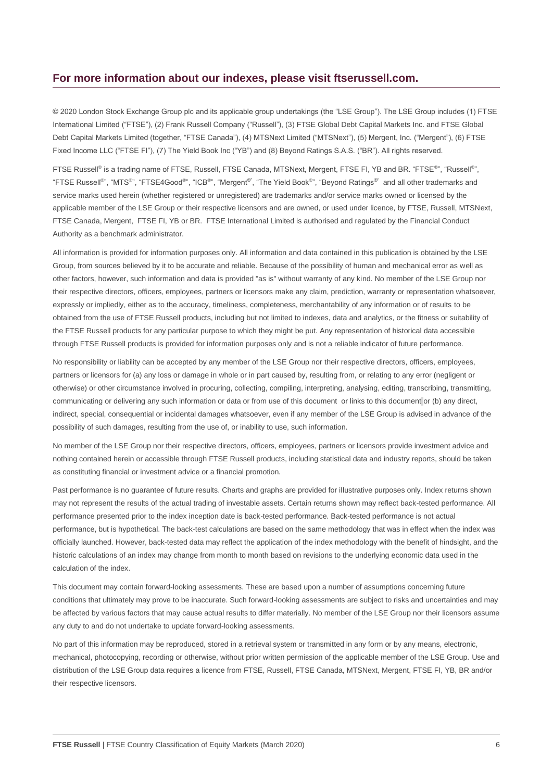#### **For more information about our indexes, please visit ftserussell.com.**

© 2020 London Stock Exchange Group plc and its applicable group undertakings (the "LSE Group"). The LSE Group includes (1) FTSE International Limited ("FTSE"), (2) Frank Russell Company ("Russell"), (3) FTSE Global Debt Capital Markets Inc. and FTSE Global Debt Capital Markets Limited (together, "FTSE Canada"), (4) MTSNext Limited ("MTSNext"), (5) Mergent, Inc. ("Mergent"), (6) FTSE Fixed Income LLC ("FTSE FI"), (7) The Yield Book Inc ("YB") and (8) Beyond Ratings S.A.S. ("BR"). All rights reserved.

FTSE Russell® is a trading name of FTSE, Russell, FTSE Canada, MTSNext, Mergent, FTSE FI, YB and BR. "FTSE®", "Russell®", "FTSE Russell<sup>®</sup>", "MTS<sup>®</sup>", "FTSE4Good<sup>®</sup>", "ICB®", "Mergent®", "The Yield Book<sup>®</sup>", "Beyond Ratings®" and all other trademarks and service marks used herein (whether registered or unregistered) are trademarks and/or service marks owned or licensed by the applicable member of the LSE Group or their respective licensors and are owned, or used under licence, by FTSE, Russell, MTSNext, FTSE Canada, Mergent, FTSE FI, YB or BR. FTSE International Limited is authorised and regulated by the Financial Conduct Authority as a benchmark administrator.

All information is provided for information purposes only. All information and data contained in this publication is obtained by the LSE Group, from sources believed by it to be accurate and reliable. Because of the possibility of human and mechanical error as well as other factors, however, such information and data is provided "as is" without warranty of any kind. No member of the LSE Group nor their respective directors, officers, employees, partners or licensors make any claim, prediction, warranty or representation whatsoever, expressly or impliedly, either as to the accuracy, timeliness, completeness, merchantability of any information or of results to be obtained from the use of FTSE Russell products, including but not limited to indexes, data and analytics, or the fitness or suitability of the FTSE Russell products for any particular purpose to which they might be put. Any representation of historical data accessible through FTSE Russell products is provided for information purposes only and is not a reliable indicator of future performance.

No responsibility or liability can be accepted by any member of the LSE Group nor their respective directors, officers, employees, partners or licensors for (a) any loss or damage in whole or in part caused by, resulting from, or relating to any error (negligent or otherwise) or other circumstance involved in procuring, collecting, compiling, interpreting, analysing, editing, transcribing, transmitting, communicating or delivering any such information or data or from use of this document or links to this document or (b) any direct, indirect, special, consequential or incidental damages whatsoever, even if any member of the LSE Group is advised in advance of the possibility of such damages, resulting from the use of, or inability to use, such information.

No member of the LSE Group nor their respective directors, officers, employees, partners or licensors provide investment advice and nothing contained herein or accessible through FTSE Russell products, including statistical data and industry reports, should be taken as constituting financial or investment advice or a financial promotion.

Past performance is no guarantee of future results. Charts and graphs are provided for illustrative purposes only. Index returns shown may not represent the results of the actual trading of investable assets. Certain returns shown may reflect back-tested performance. All performance presented prior to the index inception date is back-tested performance. Back-tested performance is not actual performance, but is hypothetical. The back-test calculations are based on the same methodology that was in effect when the index was officially launched. However, back-tested data may reflect the application of the index methodology with the benefit of hindsight, and the historic calculations of an index may change from month to month based on revisions to the underlying economic data used in the calculation of the index.

This document may contain forward-looking assessments. These are based upon a number of assumptions concerning future conditions that ultimately may prove to be inaccurate. Such forward-looking assessments are subject to risks and uncertainties and may be affected by various factors that may cause actual results to differ materially. No member of the LSE Group nor their licensors assume any duty to and do not undertake to update forward-looking assessments.

No part of this information may be reproduced, stored in a retrieval system or transmitted in any form or by any means, electronic, mechanical, photocopying, recording or otherwise, without prior written permission of the applicable member of the LSE Group. Use and distribution of the LSE Group data requires a licence from FTSE, Russell, FTSE Canada, MTSNext, Mergent, FTSE FI, YB, BR and/or their respective licensors.